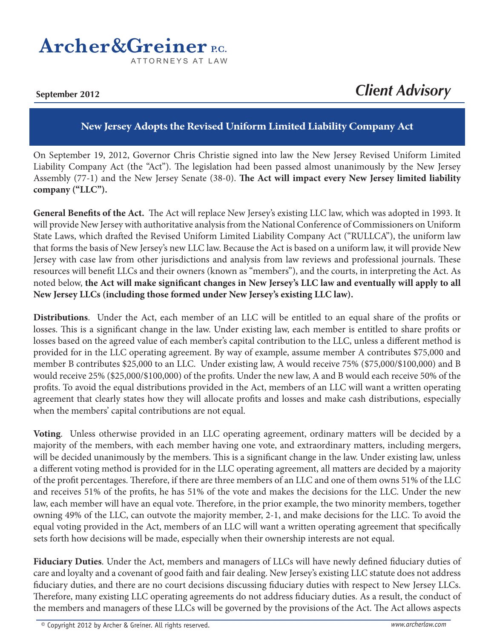## **Archer & Greiner P.C.** ATTORNEYS AT LAW

**September 2012**

## *Client Advisory*

## **New Jersey Adopts the Revised Uniform Limited Liability Company Act**

On September 19, 2012, Governor Chris Christie signed into law the New Jersey Revised Uniform Limited Liability Company Act (the "Act"). The legislation had been passed almost unanimously by the New Jersey Assembly (77-1) and the New Jersey Senate (38-0). **The Act will impact every New Jersey limited liability company ("LLC").**

**General Benefits of the Act.** The Act will replace New Jersey's existing LLC law, which was adopted in 1993. It will provide New Jersey with authoritative analysis from the National Conference of Commissioners on Uniform State Laws, which drafted the Revised Uniform Limited Liability Company Act ("RULLCA"), the uniform law that forms the basis of New Jersey's new LLC law. Because the Act is based on a uniform law, it will provide New Jersey with case law from other jurisdictions and analysis from law reviews and professional journals. These resources will benefit LLCs and their owners (known as "members"), and the courts, in interpreting the Act. As noted below, **the Act will make significant changes in New Jersey's LLC law and eventually will apply to all New Jersey LLCs (including those formed under New Jersey's existing LLC law).**

**Distributions**. Under the Act, each member of an LLC will be entitled to an equal share of the profits or losses. This is a significant change in the law. Under existing law, each member is entitled to share profits or losses based on the agreed value of each member's capital contribution to the LLC, unless a different method is provided for in the LLC operating agreement. By way of example, assume member A contributes \$75,000 and member B contributes \$25,000 to an LLC. Under existing law, A would receive 75% (\$75,000/\$100,000) and B would receive 25% (\$25,000/\$100,000) of the profits. Under the new law, A and B would each receive 50% of the profits. To avoid the equal distributions provided in the Act, members of an LLC will want a written operating agreement that clearly states how they will allocate profits and losses and make cash distributions, especially when the members' capital contributions are not equal.

**Voting**. Unless otherwise provided in an LLC operating agreement, ordinary matters will be decided by a majority of the members, with each member having one vote, and extraordinary matters, including mergers, will be decided unanimously by the members. This is a significant change in the law. Under existing law, unless a different voting method is provided for in the LLC operating agreement, all matters are decided by a majority of the profit percentages. Therefore, if there are three members of an LLC and one of them owns 51% of the LLC and receives 51% of the profits, he has 51% of the vote and makes the decisions for the LLC. Under the new law, each member will have an equal vote. Therefore, in the prior example, the two minority members, together owning 49% of the LLC, can outvote the majority member, 2-1, and make decisions for the LLC. To avoid the equal voting provided in the Act, members of an LLC will want a written operating agreement that specifically sets forth how decisions will be made, especially when their ownership interests are not equal.

**Fiduciary Duties**. Under the Act, members and managers of LLCs will have newly defined fiduciary duties of care and loyalty and a covenant of good faith and fair dealing. New Jersey's existing LLC statute does not address fiduciary duties, and there are no court decisions discussing fiduciary duties with respect to New Jersey LLCs. Therefore, many existing LLC operating agreements do not address fiduciary duties. As a result, the conduct of the members and managers of these LLCs will be governed by the provisions of the Act. The Act allows aspects